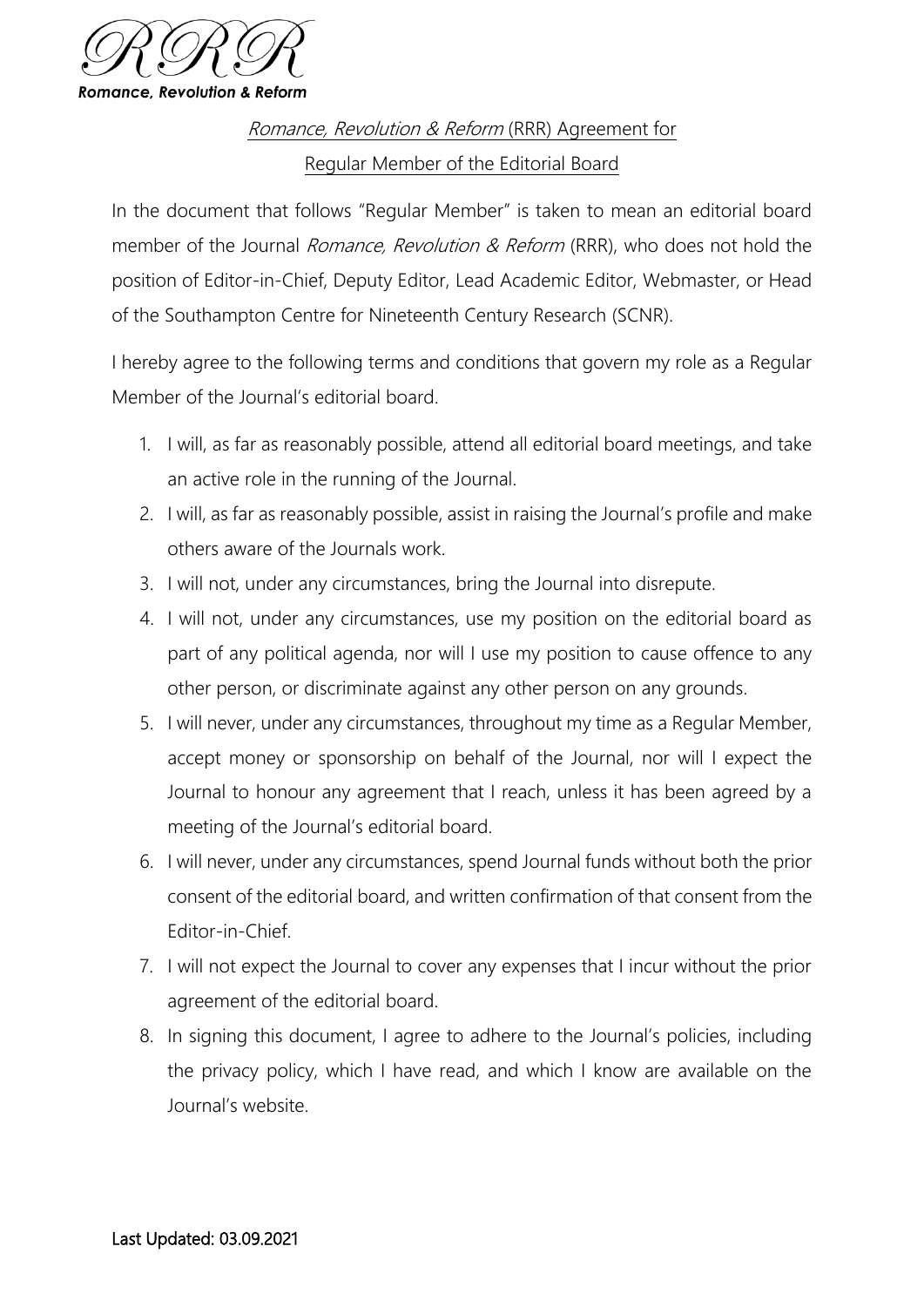

Romance, Revolution & Reform (RRR) Agreement for Regular Member of the Editorial Board

In the document that follows "Regular Member" is taken to mean an editorial board member of the Journal *Romance, Revolution & Reform* (RRR), who does not hold the position of Editor-in-Chief, Deputy Editor, Lead Academic Editor, Webmaster, or Head of the Southampton Centre for Nineteenth Century Research (SCNR).

I hereby agree to the following terms and conditions that govern my role as a Regular Member of the Journal's editorial board.

- 1. I will, as far as reasonably possible, attend all editorial board meetings, and take an active role in the running of the Journal.
- 2. I will, as far as reasonably possible, assist in raising the Journal's profile and make others aware of the Journals work.
- 3. I will not, under any circumstances, bring the Journal into disrepute.
- 4. I will not, under any circumstances, use my position on the editorial board as part of any political agenda, nor will I use my position to cause offence to any other person, or discriminate against any other person on any grounds.
- 5. I will never, under any circumstances, throughout my time as a Regular Member, accept money or sponsorship on behalf of the Journal, nor will I expect the Journal to honour any agreement that I reach, unless it has been agreed by a meeting of the Journal's editorial board.
- 6. I will never, under any circumstances, spend Journal funds without both the prior consent of the editorial board, and written confirmation of that consent from the Editor-in-Chief.
- 7. I will not expect the Journal to cover any expenses that I incur without the prior agreement of the editorial board.
- 8. In signing this document, I agree to adhere to the Journal's policies, including the privacy policy, which I have read, and which I know are available on the Journal's website.